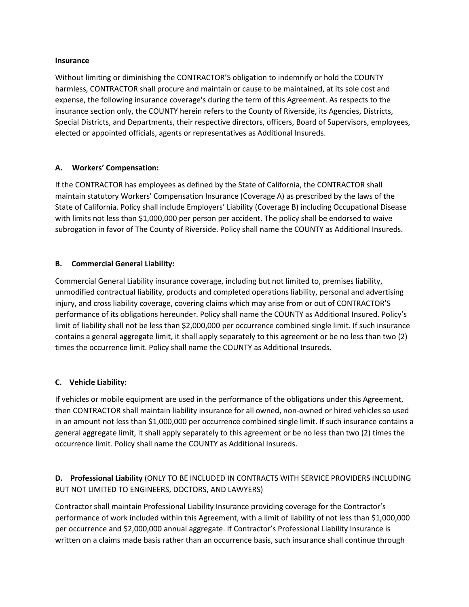#### **Insurance**

Without limiting or diminishing the CONTRACTOR'S obligation to indemnify or hold the COUNTY harmless, CONTRACTOR shall procure and maintain or cause to be maintained, at its sole cost and expense, the following insurance coverage's during the term of this Agreement. As respects to the insurance section only, the COUNTY herein refers to the County of Riverside, its Agencies, Districts, Special Districts, and Departments, their respective directors, officers, Board of Supervisors, employees, elected or appointed officials, agents or representatives as Additional Insureds.

### **A. Workers' Compensation:**

If the CONTRACTOR has employees as defined by the State of California, the CONTRACTOR shall maintain statutory Workers' Compensation Insurance (Coverage A) as prescribed by the laws of the State of California. Policy shall include Employers' Liability (Coverage B) including Occupational Disease with limits not less than \$1,000,000 per person per accident. The policy shall be endorsed to waive subrogation in favor of The County of Riverside. Policy shall name the COUNTY as Additional Insureds.

# **B. Commercial General Liability:**

Commercial General Liability insurance coverage, including but not limited to, premises liability, unmodified contractual liability, products and completed operations liability, personal and advertising injury, and cross liability coverage, covering claims which may arise from or out of CONTRACTOR'S performance of its obligations hereunder. Policy shall name the COUNTY as Additional Insured. Policy's limit of liability shall not be less than \$2,000,000 per occurrence combined single limit. If such insurance contains a general aggregate limit, it shall apply separately to this agreement or be no less than two (2) times the occurrence limit. Policy shall name the COUNTY as Additional Insureds.

# **C. Vehicle Liability:**

If vehicles or mobile equipment are used in the performance of the obligations under this Agreement, then CONTRACTOR shall maintain liability insurance for all owned, non-owned or hired vehicles so used in an amount not less than \$1,000,000 per occurrence combined single limit. If such insurance contains a general aggregate limit, it shall apply separately to this agreement or be no less than two (2) times the occurrence limit. Policy shall name the COUNTY as Additional Insureds.

# **D. Professional Liability** (ONLY TO BE INCLUDED IN CONTRACTS WITH SERVICE PROVIDERS INCLUDING BUT NOT LIMITED TO ENGINEERS, DOCTORS, AND LAWYERS)

Contractor shall maintain Professional Liability Insurance providing coverage for the Contractor's performance of work included within this Agreement, with a limit of liability of not less than \$1,000,000 per occurrence and \$2,000,000 annual aggregate. If Contractor's Professional Liability Insurance is written on a claims made basis rather than an occurrence basis, such insurance shall continue through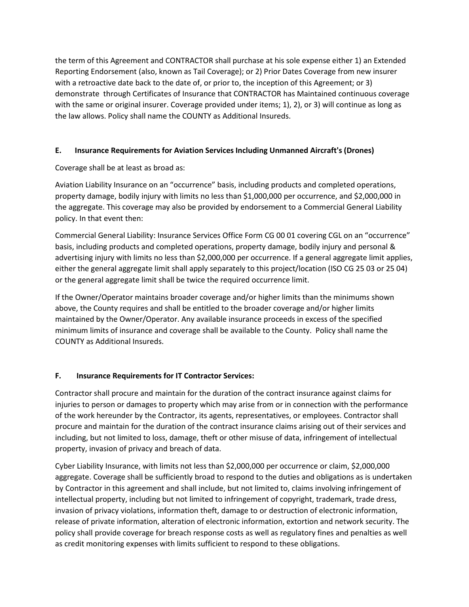the term of this Agreement and CONTRACTOR shall purchase at his sole expense either 1) an Extended Reporting Endorsement (also, known as Tail Coverage); or 2) Prior Dates Coverage from new insurer with a retroactive date back to the date of, or prior to, the inception of this Agreement; or 3) demonstrate through Certificates of Insurance that CONTRACTOR has Maintained continuous coverage with the same or original insurer. Coverage provided under items; 1), 2), or 3) will continue as long as the law allows. Policy shall name the COUNTY as Additional Insureds.

### **E. Insurance Requirements for Aviation Services Including Unmanned Aircraft's (Drones)**

Coverage shall be at least as broad as:

Aviation Liability Insurance on an "occurrence" basis, including products and completed operations, property damage, bodily injury with limits no less than \$1,000,000 per occurrence, and \$2,000,000 in the aggregate. This coverage may also be provided by endorsement to a Commercial General Liability policy. In that event then:

Commercial General Liability: Insurance Services Office Form CG 00 01 covering CGL on an "occurrence" basis, including products and completed operations, property damage, bodily injury and personal & advertising injury with limits no less than \$2,000,000 per occurrence. If a general aggregate limit applies, either the general aggregate limit shall apply separately to this project/location (ISO CG 25 03 or 25 04) or the general aggregate limit shall be twice the required occurrence limit.

If the Owner/Operator maintains broader coverage and/or higher limits than the minimums shown above, the County requires and shall be entitled to the broader coverage and/or higher limits maintained by the Owner/Operator. Any available insurance proceeds in excess of the specified minimum limits of insurance and coverage shall be available to the County. Policy shall name the COUNTY as Additional Insureds.

# **F. Insurance Requirements for IT Contractor Services:**

Contractor shall procure and maintain for the duration of the contract insurance against claims for injuries to person or damages to property which may arise from or in connection with the performance of the work hereunder by the Contractor, its agents, representatives, or employees. Contractor shall procure and maintain for the duration of the contract insurance claims arising out of their services and including, but not limited to loss, damage, theft or other misuse of data, infringement of intellectual property, invasion of privacy and breach of data.

Cyber Liability Insurance, with limits not less than \$2,000,000 per occurrence or claim, \$2,000,000 aggregate. Coverage shall be sufficiently broad to respond to the duties and obligations as is undertaken by Contractor in this agreement and shall include, but not limited to, claims involving infringement of intellectual property, including but not limited to infringement of copyright, trademark, trade dress, invasion of privacy violations, information theft, damage to or destruction of electronic information, release of private information, alteration of electronic information, extortion and network security. The policy shall provide coverage for breach response costs as well as regulatory fines and penalties as well as credit monitoring expenses with limits sufficient to respond to these obligations.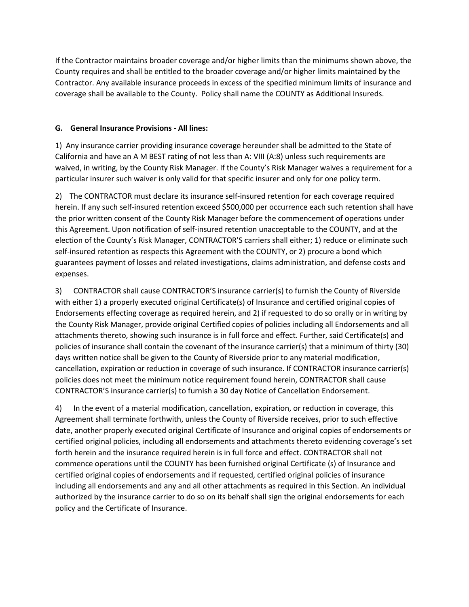If the Contractor maintains broader coverage and/or higher limits than the minimums shown above, the County requires and shall be entitled to the broader coverage and/or higher limits maintained by the Contractor. Any available insurance proceeds in excess of the specified minimum limits of insurance and coverage shall be available to the County. Policy shall name the COUNTY as Additional Insureds.

### **G. General Insurance Provisions - All lines:**

1) Any insurance carrier providing insurance coverage hereunder shall be admitted to the State of California and have an A M BEST rating of not less than A: VIII (A:8) unless such requirements are waived, in writing, by the County Risk Manager. If the County's Risk Manager waives a requirement for a particular insurer such waiver is only valid for that specific insurer and only for one policy term.

2) The CONTRACTOR must declare its insurance self-insured retention for each coverage required herein. If any such self-insured retention exceed \$500,000 per occurrence each such retention shall have the prior written consent of the County Risk Manager before the commencement of operations under this Agreement. Upon notification of self-insured retention unacceptable to the COUNTY, and at the election of the County's Risk Manager, CONTRACTOR'S carriers shall either; 1) reduce or eliminate such self-insured retention as respects this Agreement with the COUNTY, or 2) procure a bond which guarantees payment of losses and related investigations, claims administration, and defense costs and expenses.

3) CONTRACTOR shall cause CONTRACTOR'S insurance carrier(s) to furnish the County of Riverside with either 1) a properly executed original Certificate(s) of Insurance and certified original copies of Endorsements effecting coverage as required herein, and 2) if requested to do so orally or in writing by the County Risk Manager, provide original Certified copies of policies including all Endorsements and all attachments thereto, showing such insurance is in full force and effect. Further, said Certificate(s) and policies of insurance shall contain the covenant of the insurance carrier(s) that a minimum of thirty (30) days written notice shall be given to the County of Riverside prior to any material modification, cancellation, expiration or reduction in coverage of such insurance. If CONTRACTOR insurance carrier(s) policies does not meet the minimum notice requirement found herein, CONTRACTOR shall cause CONTRACTOR'S insurance carrier(s) to furnish a 30 day Notice of Cancellation Endorsement.

4) In the event of a material modification, cancellation, expiration, or reduction in coverage, this Agreement shall terminate forthwith, unless the County of Riverside receives, prior to such effective date, another properly executed original Certificate of Insurance and original copies of endorsements or certified original policies, including all endorsements and attachments thereto evidencing coverage's set forth herein and the insurance required herein is in full force and effect. CONTRACTOR shall not commence operations until the COUNTY has been furnished original Certificate (s) of Insurance and certified original copies of endorsements and if requested, certified original policies of insurance including all endorsements and any and all other attachments as required in this Section. An individual authorized by the insurance carrier to do so on its behalf shall sign the original endorsements for each policy and the Certificate of Insurance.